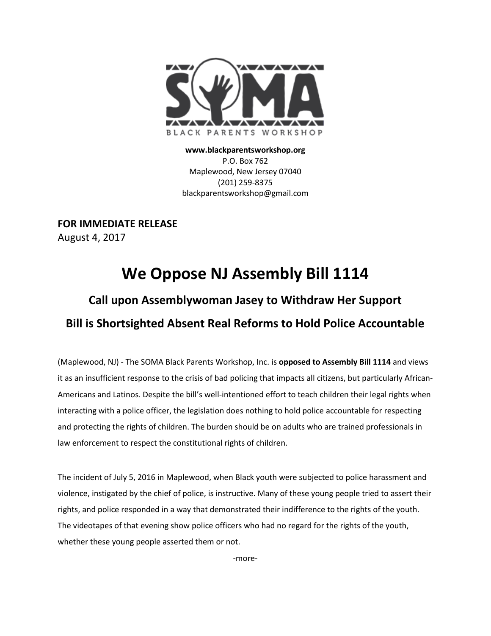

**www.blackparentsworkshop.org** P.O. Box 762 Maplewood, New Jersey 07040 (201) 259-8375 blackparentsworkshop@gmail.com

**FOR IMMEDIATE RELEASE** August 4, 2017

## **We Oppose NJ Assembly Bill 1114**

## **Call upon Assemblywoman Jasey to Withdraw Her Support Bill is Shortsighted Absent Real Reforms to Hold Police Accountable**

(Maplewood, NJ) - The SOMA Black Parents Workshop, Inc. is **opposed to Assembly Bill 1114** and views it as an insufficient response to the crisis of bad policing that impacts all citizens, but particularly African-Americans and Latinos. Despite the bill's well-intentioned effort to teach children their legal rights when interacting with a police officer, the legislation does nothing to hold police accountable for respecting and protecting the rights of children. The burden should be on adults who are trained professionals in law enforcement to respect the constitutional rights of children.

The incident of July 5, 2016 in Maplewood, when Black youth were subjected to police harassment and violence, instigated by the chief of police, is instructive. Many of these young people tried to assert their rights, and police responded in a way that demonstrated their indifference to the rights of the youth. The videotapes of that evening show police officers who had no regard for the rights of the youth, whether these young people asserted them or not.

-more-